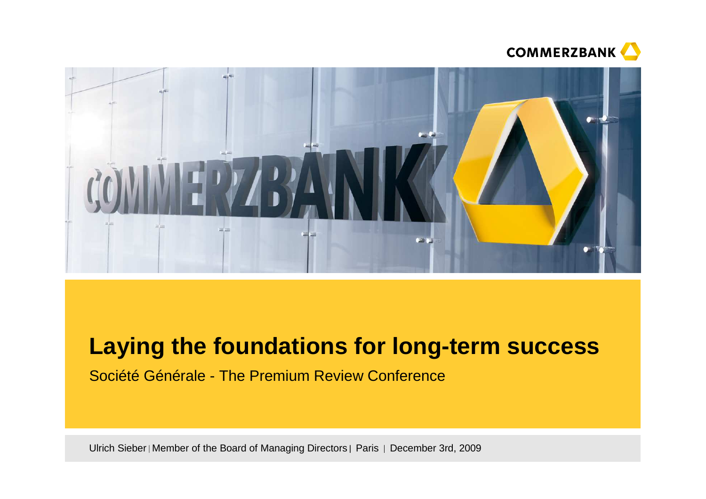



# **Laying the foundations for long-term success**

Société Générale - The Premium Review Conference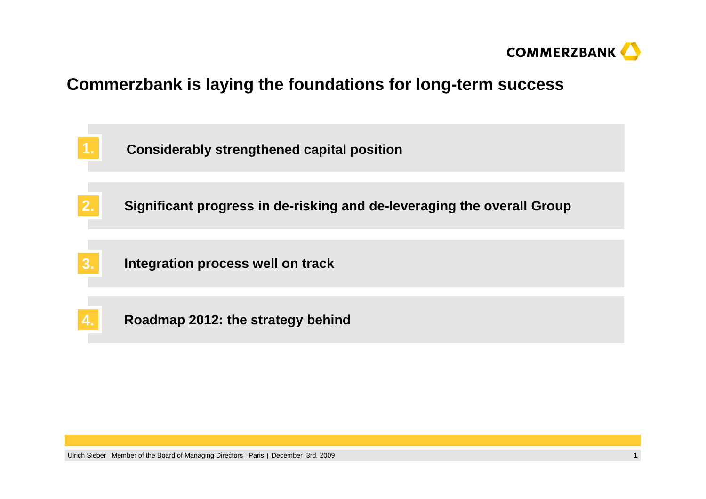

## **Commerzbank is laying the foundations for long-term success**

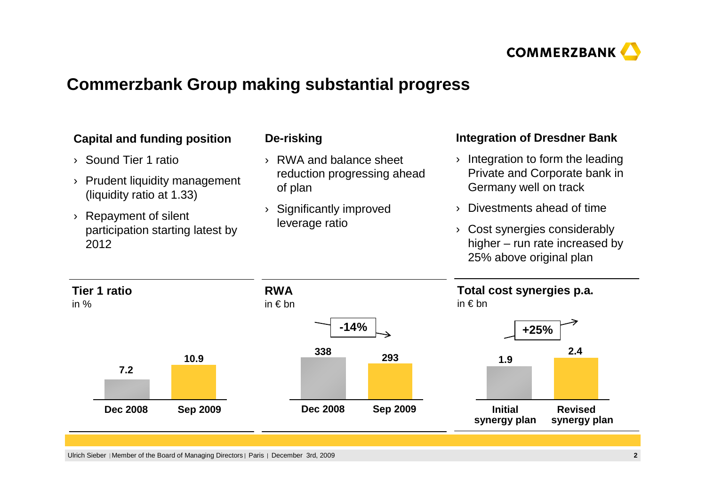

# **Commerzbank Group making substantial progress**

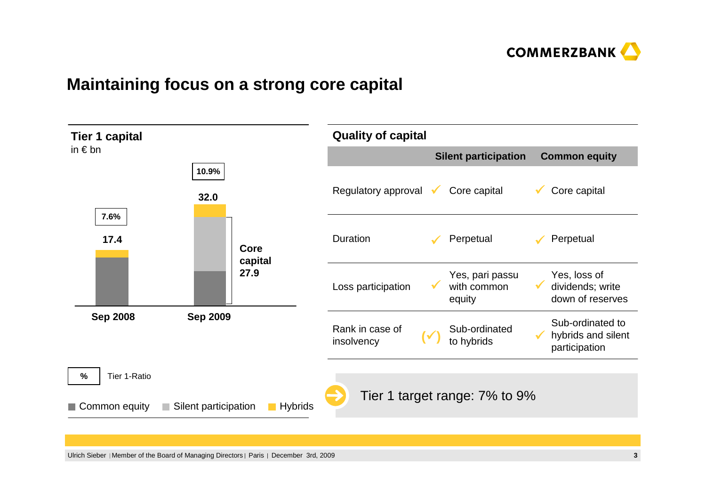

### **Maintaining focus on a strong core capital**

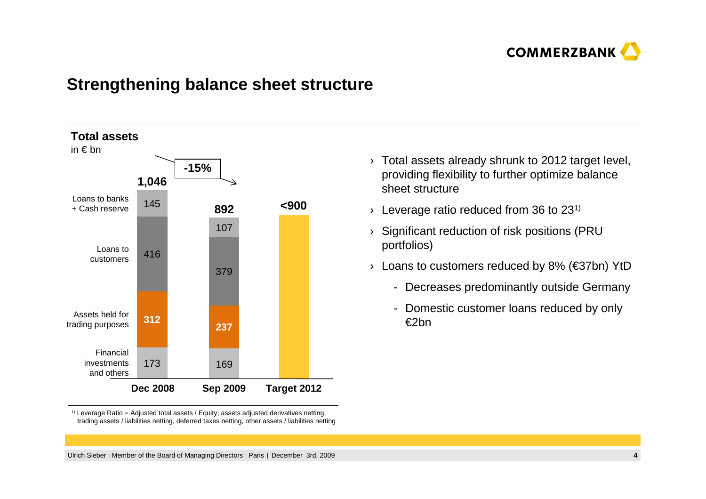

#### **Strengthening balance sheet structure**



 $^{\text{\tiny{(1)}}}$  Leverage Ratio = Adjusted total assets / Equity; assets adjusted derivatives netting, trading assets / liabilities netting, deferred taxes netting, other assets / liabilities netting

- $\rightarrow$  Total assets already shrunk to 2012 target level, providing flexibility to further optimize balance sheet structure
- $\rightarrow$  Leverage ratio reduced from 36 to 231)
- › Significant reduction of risk positions (PRU portfolios)
- › Loans to customers reduced by 8% (€37bn) YtD
	- Decreases predominantly outside Germany
	- Domestic customer loans reduced by only €2bn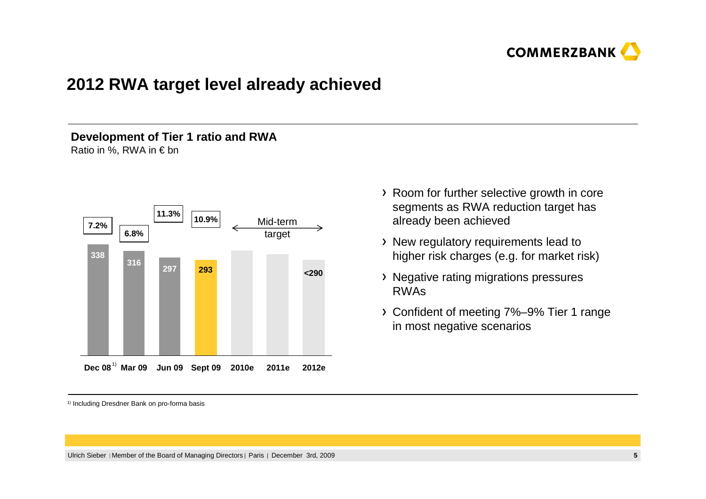

### **2012 RWA target level already achieved**

#### **Development of Tier 1 ratio and RWA**Ratio in %, RWA in  $\epsilon$  bn



- Room for further selective growth in core segments as RWA reduction target has already been achieved
- New regulatory requirements lead to higher risk charges (e.g. for market risk)
- Negative rating migrations pressures RWAs
- Confident of meeting 7%–9% Tier 1 range in most negative scenarios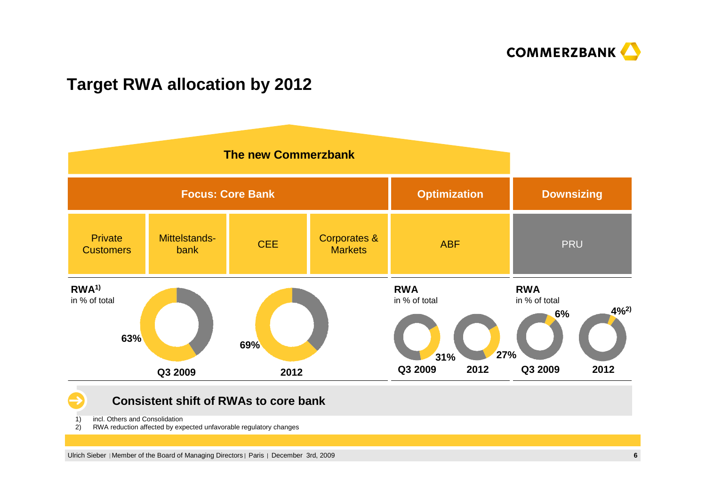

## **Target RWA allocation by 2012**



**Consistent shift of RWAs to core bank**

1) incl. Others and Consolidation<br>2) RWA reduction affected by exp

2) RWA reduction affected by expected unfavorable regulatory changes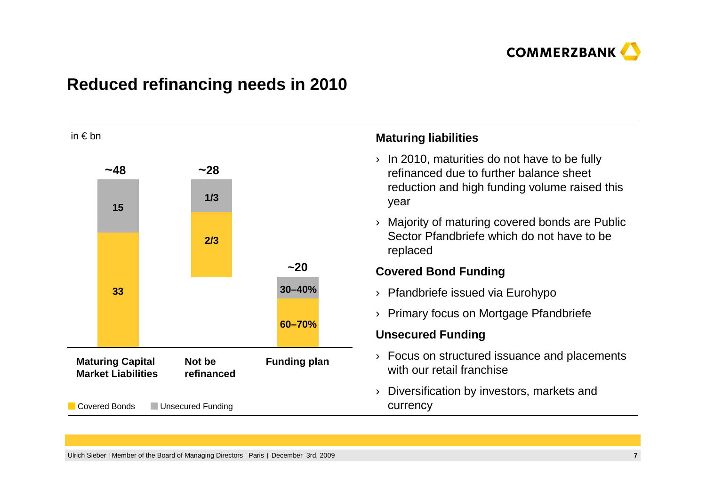

# **Reduced refinancing needs in 2010**

| in $\epsilon$ bn                                                             |      |  |     |                     | <b>Maturing liabilities</b>                                                                                                                          |
|------------------------------------------------------------------------------|------|--|-----|---------------------|------------------------------------------------------------------------------------------------------------------------------------------------------|
|                                                                              | ~148 |  | ~28 |                     | In 2010, maturities do not have to be fully<br>$\lambda$<br>refinanced due to further balance sheet<br>reduction and high funding volume raised this |
|                                                                              | 15   |  | 1/3 |                     | year                                                                                                                                                 |
|                                                                              |      |  | 2/3 |                     | Majority of maturing covered bonds are Public<br>Sector Pfandbriefe which do not have to be<br>replaced                                              |
|                                                                              |      |  |     | ~120                | <b>Covered Bond Funding</b>                                                                                                                          |
| 33                                                                           |      |  |     | 30-40%              | Pfandbriefe issued via Eurohypo                                                                                                                      |
|                                                                              |      |  |     |                     | Primary focus on Mortgage Pfandbriefe                                                                                                                |
|                                                                              |      |  |     | 60-70%              | <b>Unsecured Funding</b>                                                                                                                             |
| <b>Maturing Capital</b><br>Not be<br><b>Market Liabilities</b><br>refinanced |      |  |     | <b>Funding plan</b> | Focus on structured issuance and placements<br>with our retail franchise                                                                             |
| Covered Bonds<br>Unsecured Funding                                           |      |  |     |                     | Diversification by investors, markets and<br>currency                                                                                                |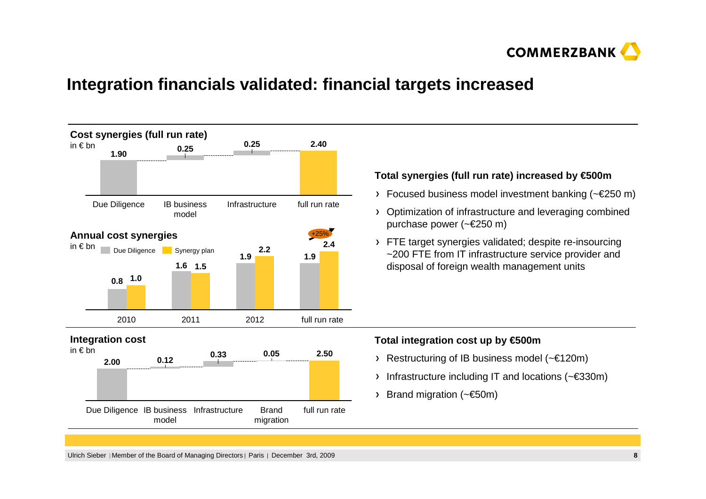

#### **Integration financials validated: financial targets increased**

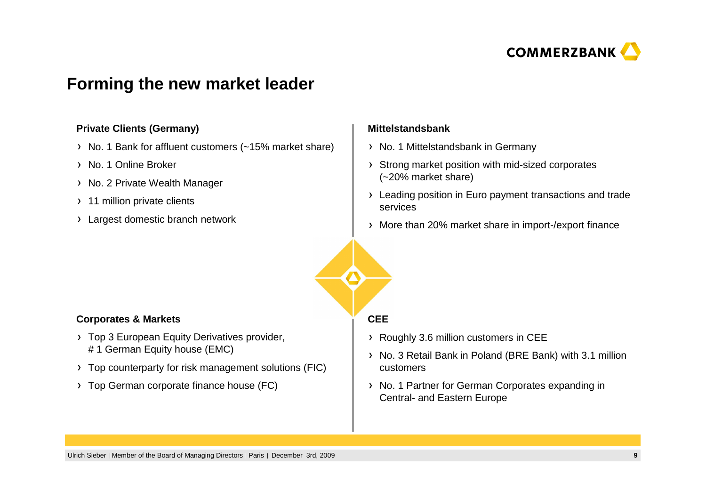

#### **Forming the new market leader**

#### **Private Clients (Germany)**

- > No. 1 Bank for affluent customers (~15% market share)
- > No. 1 Online Broker
- > No. 2 Private Wealth Manager
- > 11 million private clients
- Largest domestic branch network

#### **Mittelstandsbank**

- > No. 1 Mittelstandsbank in Germany
- Strong market position with mid-sized corporates (~20% market share)
- > Leading position in Euro payment transactions and trade services
- More than 20% market share in import-/export finance

#### **Corporates & Markets**

- > Top 3 European Equity Derivatives provider, # 1 German Equity house (EMC)
- Top counterparty for risk management solutions (FIC)
- > Top German corporate finance house (FC)

#### **CEE**

- Roughly 3.6 million customers in CEE
- > No. 3 Retail Bank in Poland (BRE Bank) with 3.1 million customers
- > No. 1 Partner for German Corporates expanding in Central- and Eastern Europe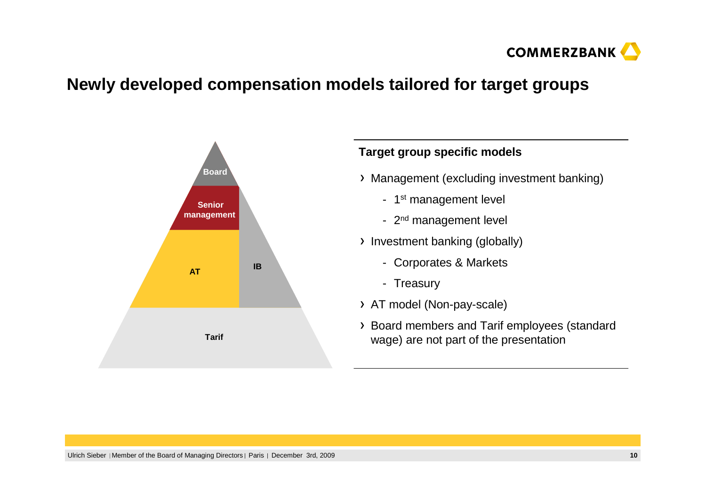

### **Newly developed compensation models tailored for target groups**



# Management (excluding investment banking)- 1st management level - 2<sup>nd</sup> management level > Investment banking (globally) - Corporates & Markets- Treasury> AT model (Non-pay-scale) Board members and Tarif employees (standardwage) are not part of the presentation**Target group specific models**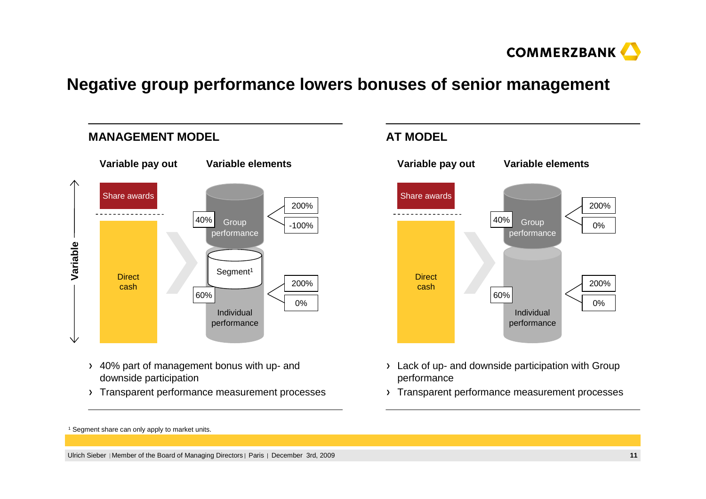

## **Negative group performance lowers bonuses of senior management**



- 40% part of management bonus with up- and downside participation
- Transparent performance measurement processes



- Lack of up- and downside participation with Group performance
- Transparent performance measurement processes

1 Segment share can only apply to market units.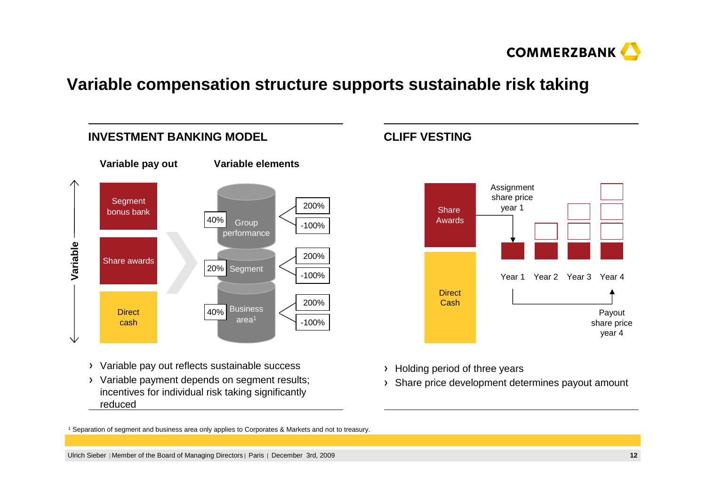

#### **Variable compensation structure supports sustainable risk taking**



- Variable pay out reflects sustainable success
- Variable payment depends on segment results; incentives for individual risk taking significantlyreduced





- Holding period of three years
- Share price development determines payout amount

1 Separation of segment and business area only applies to Corporates & Markets and not to treasury.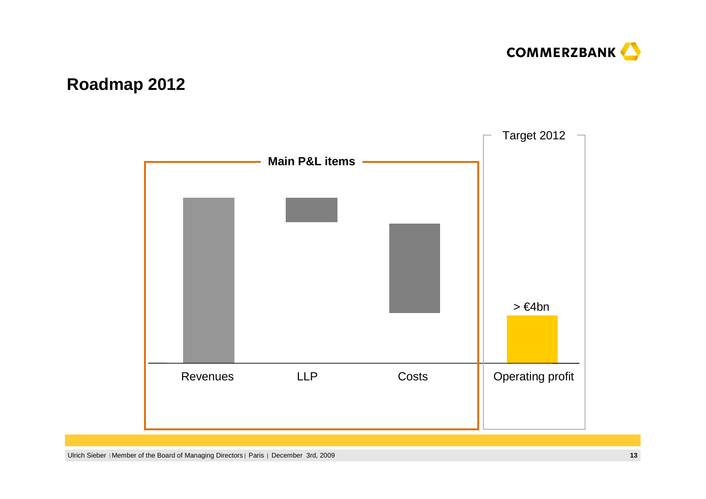

# **Roadmap 2012**

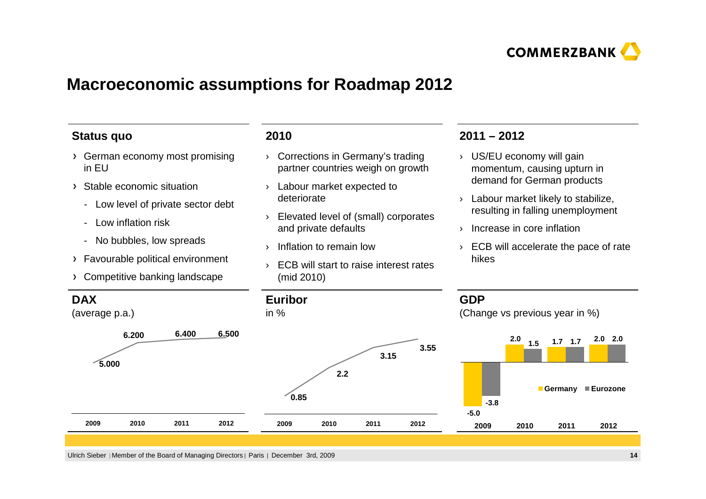

### **Macroeconomic assumptions for Roadmap 2012**

#### **Status quo**

- German economy most promising in EU
- Stable economic situation
	- Low level of private sector debt
	- Low inflation risk
	- No bubbles, low spreads
- Favourable political environment
- Competitive banking landscape

#### **2010**

- › Corrections in Germany's trading partner countries weigh on growth
- › Labour market expected to deteriorate
- › Elevated level of (small) corporatesand private defaults
- › Inflation to remain low
- › ECB will start to raise interest rates (mid 2010)

#### **2011 – 2012**

- › US/EU economy will gain momentum, causing upturn in demand for German products
- › Labour market likely to stabilize, resulting in falling unemployment
- › Increase in core inflation
- › ECB will accelerate the pace of rate hikes

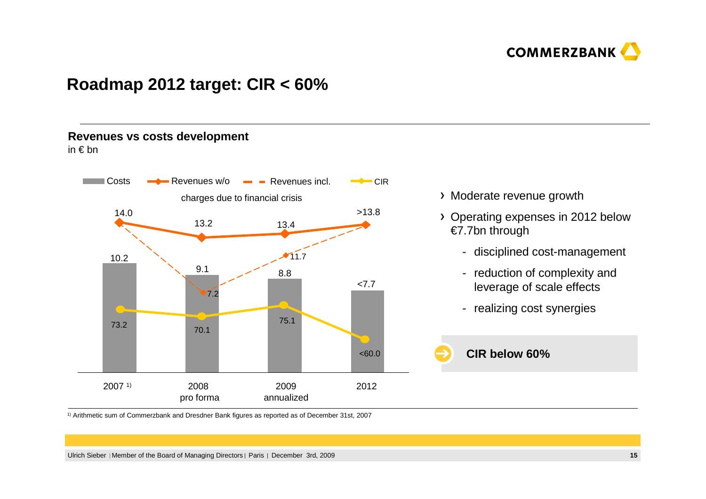

#### **Roadmap 2012 target: CIR < 60%**

#### **Revenues vs costs development**

in € bn



- Moderate revenue growth
- Operating expenses in 2012 below €7.7bn through
	- disciplined cost-management
	- reduction of complexity and leverage of scale effects
	- realizing cost synergies



 $^\text{\tiny 1)}$  Arithmetic sum of Commerzbank and Dresdner Bank figures as reported as of December 31st, 2007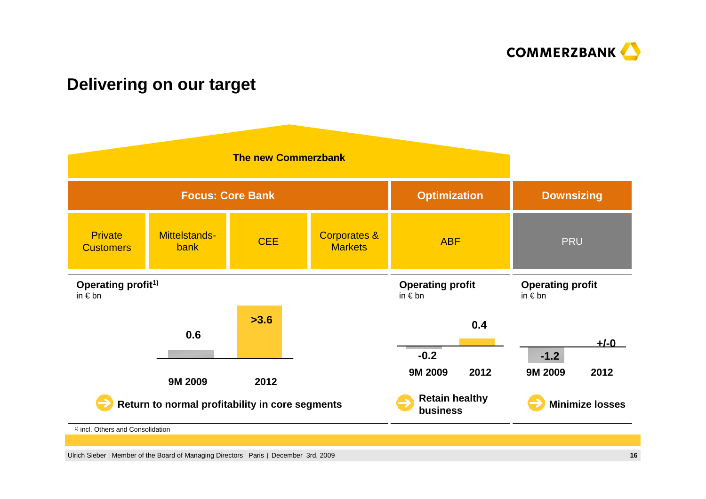

#### **Delivering on our target**

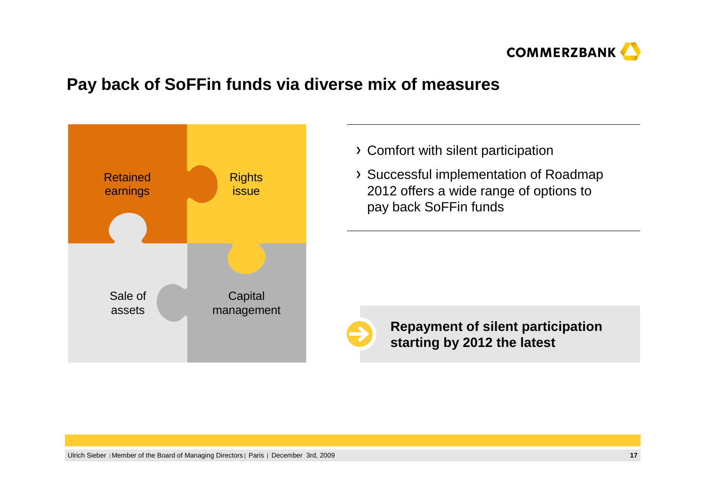

### **Pay back of SoFFin funds via diverse mix of measures**



- Comfort with silent participation
- Successful implementation of Roadmap 2012 offers a wide range of options to pay back SoFFin funds



**Repayment of silent participation starting by 2012 the latest**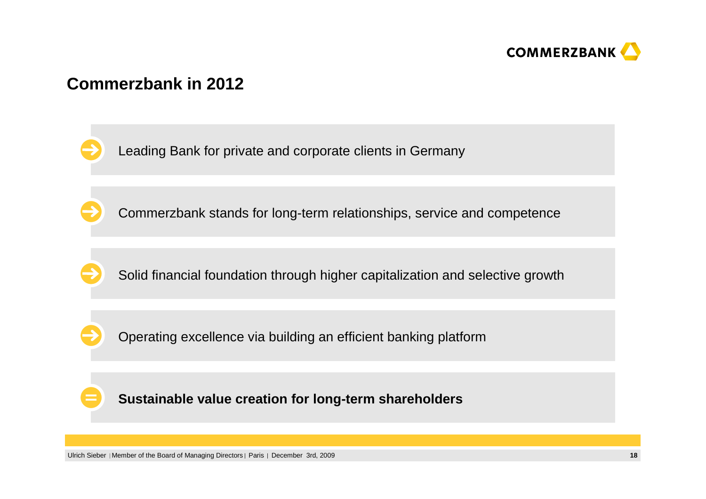

## **Commerzbank in 2012**

Leading Bank for private and corporate clients in Germany

Commerzbank stands for long-term relationships, service and competence

Solid financial foundation through higher capitalization and selective growth

Operating excellence via building an efficient banking platform

**Sustainable value creation for long-term shareholders**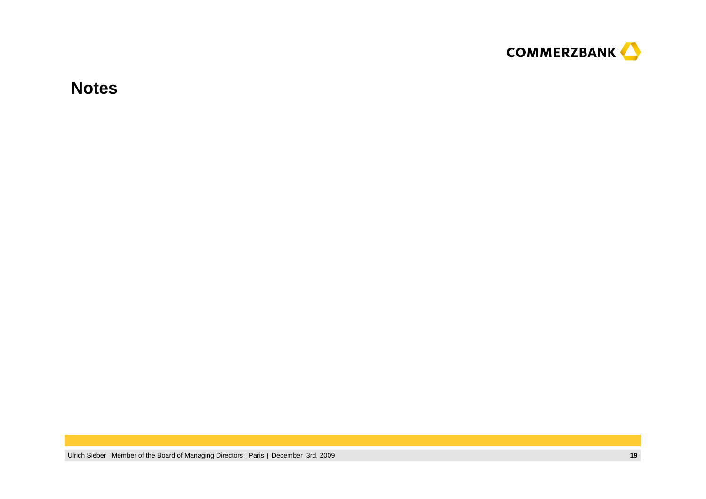

**Notes**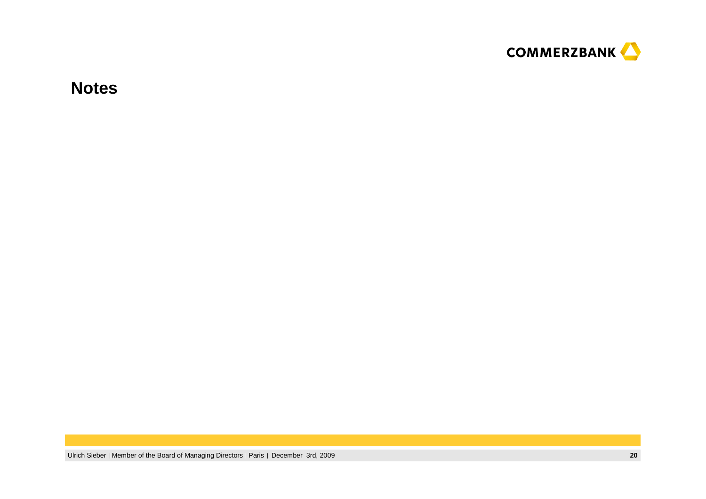

**Notes**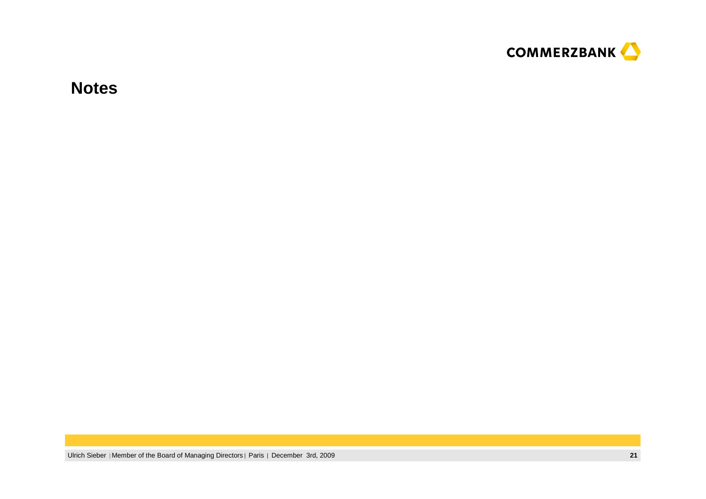

**Notes**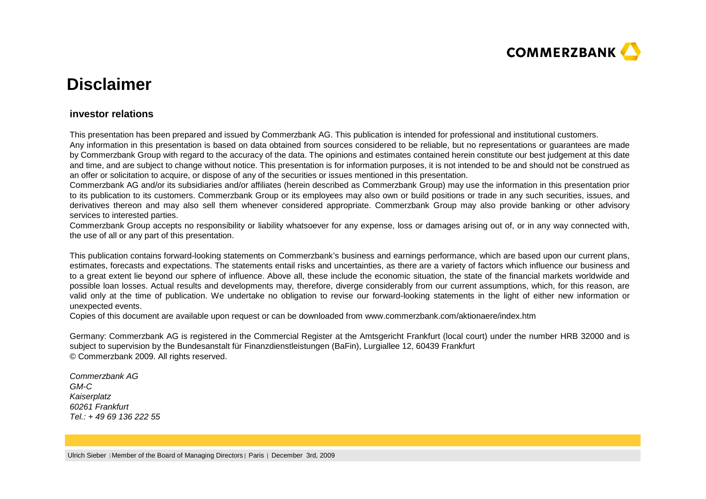

# **Disclaimer**

#### **investor relations**

This presentation has been prepared and issued by Commerzbank AG. This publication is intended for professional and institutional customers. Any information in this presentation is based on data obtained from sources considered to be reliable, but no representations or guarantees are made by Commerzbank Group with regard to the accuracy of the data. The opinions and estimates contained herein constitute our best judgement at this date and time, and are subject to change without notice. This presentation is for information purposes, it is not intended to be and should not be construed as an offer or solicitation to acquire, or dispose of any of the securities or issues mentioned in this presentation.

 Commerzbank AG and/or its subsidiaries and/or affiliates (herein described as Commerzbank Group) may use the information in this presentation prior to its publication to its customers. Commerzbank Group or its employees may also own or build positions or trade in any such securities, issues, and derivatives thereon and may also sell them whenever considered appropriate. Commerzbank Group may also provide banking or other advisory services to interested parties.

 Commerzbank Group accepts no responsibility or liability whatsoever for any expense, loss or damages arising out of, or in any way connected with, the use of all or any part of this presentation.

This publication contains forward-looking statements on Commerzbank's business and earnings performance, which are based upon our current plans, estimates, forecasts and expectations. The statements entail risks and uncertainties, as there are a variety of factors which influence our business and to a great extent lie beyond our sphere of influence. Above all, these include the economic situation, the state of the financial markets worldwide and possible loan losses. Actual results and developments may, therefore, diverge considerably from our current assumptions, which, for this reason, are valid only at the time of publication. We undertake no obligation to revise our forward-looking statements in the light of either new information or unexpected events.

Copies of this document are available upon request or can be downloaded from www.commerzbank.com/aktionaere/index.htm

Germany: Commerzbank AG is registered in the Commercial Register at the Amtsgericht Frankfurt (local court) under the number HRB 32000 and is subject to supervision by the Bundesanstalt für Finanzdienstleistungen (BaFin), Lurgiallee 12, 60439 Frankfurt © Commerzbank 2009. All rights reserved.

Commerzbank AG GM-C Kaiserplatz 60261 FrankfurtTel.: + 49 69 136 222 55